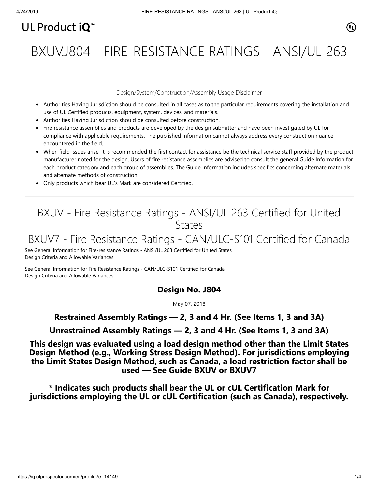# UL Product  $i\mathbf{O}^m$

BXUV.J804 - FIRE-RESISTANCE RATINGS - ANSI/UL 263

#### Design/System/Construction/Assembly Usage Disclaimer

- Authorities Having Jurisdiction should be consulted in all cases as to the particular requirements covering the installation and use of UL Certified products, equipment, system, devices, and materials.
- Authorities Having Jurisdiction should be consulted before construction.
- Fire resistance assemblies and products are developed by the design submitter and have been investigated by UL for compliance with applicable requirements. The published information cannot always address every construction nuance encountered in the field.
- When field issues arise, it is recommended the first contact for assistance be the technical service staff provided by the product manufacturer noted for the design. Users of fire resistance assemblies are advised to consult the general Guide Information for each product category and each group of assemblies. The Guide Information includes specifics concerning alternate materials and alternate methods of construction.
- Only products which bear UL's Mark are considered Certified.

### BXUV - Fire Resistance Ratings - ANSI/UL 263 Certified for United **States**

## BXUV7 - Fire Resistance Ratings - CAN/ULC-S101 Certified for Canada

[See General Information for Fire-resistance Ratings - ANSI/UL 263 Certified for United States](https://iq.ulprospector.com/cgi-bin/XYV/template/LISEXT/1FRAME/showpage.html?name=BXUV.GuideInfo&ccnshorttitle=Fire-resistance+Ratings+-+ANSI/UL+263&objid=1074327030&cfgid=1073741824&version=versionless&parent_id=1073984818&sequence=1) Design Criteria and Allowable Variances

[See General Information for Fire Resistance Ratings - CAN/ULC-S101 Certified for Canada](https://iq.ulprospector.com/cgi-bin/XYV/template/LISEXT/1FRAME/showpage.html?name=BXUV7.GuideInfo&ccnshorttitle=Fire+Resistance+Ratings+-+CAN/ULC-S101+Certified+for+Canada&objid=1074205658&cfgid=1073741824&version=versionless&parent_id=1073984820&sequence=1) Design Criteria and Allowable Variances

### **Design No. J804**

May 07, 2018

### **Restrained Assembly Ratings — 2, 3 and 4 Hr. (See Items 1, 3 and 3A)**

**Unrestrained Assembly Ratings — 2, 3 and 4 Hr. (See Items 1, 3 and 3A)**

**This design was evaluated using a load design method other than the Limit States Design Method (e.g., Working Stress Design Method). For jurisdictions employing the Limit States Design Method, such as Canada, a load restriction factor shall be used — See Guide [BXUV](https://database.ul.com/cgi-bin/XYV/template/LISEXT/1FRAME/showpage.html?name=BXUV.GuideInfo&ccnshorttitle=Fire-resistance+Ratings+-+ANSI/UL+263&objid=1074327030&cfgid=1073741824&version=versionless&parent_id=1073984818&sequence=1) or [BXUV7](https://database.ul.com/cgi-bin/XYV/template/LISEXT/1FRAME/showpage.html?name=BXUV7.GuideInfo&ccnshorttitle=Fire+Resistance+Ratings+-+CAN/ULC-S101M+Certified+for+Canada&objid=1074205658&cfgid=1073741824&version=versionless&parent_id=1073984820&sequence=1)**

**\* Indicates such products shall bear the UL or cUL Certification Mark for jurisdictions employing the UL or cUL Certification (such as Canada), respectively.**

⁄ඔ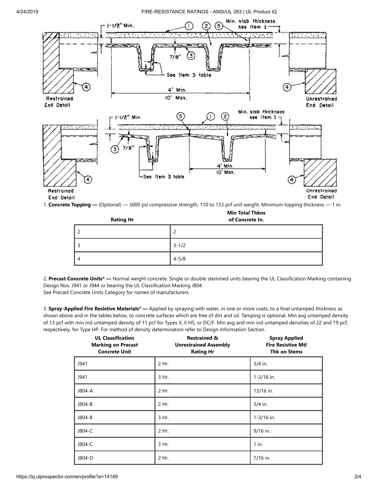#### 4/24/2019 FIRE-RESISTANCE RATINGS - ANSI/UL 263 | UL Product iQ



1. **Concrete Topping —** (Optional) — 3000 psi compressive strength, 110 to 153 pcf unit weight. Minimum topping thickness — 1 in.

| <b>Rating Hr</b> | <b>Min Total Thkns</b><br>of Concrete In. |  |
|------------------|-------------------------------------------|--|
| 2                | 2                                         |  |
| э                | $3 - 1/2$                                 |  |
| 4                | $4 - 5/8$                                 |  |

2. **Precast Concrete Units\* —** Normal weight concrete. Single or double stemmed units bearing the UL Classification Marking containing Design Nos. J941 or J944 or bearing the UL Classification Marking J804.

See Precast Concrete Units Category for names of manufacturers.

3. **Spray-Applied Fire Resistive Materials\* —** Applied by spraying with water, in one or more coats, to a final untamped thickness as shown above and in the tables below, to concrete surfaces which are free of dirt and oil. Tamping is optional. Min avg untamped density of 13 pcf with min ind untamped density of 11 pcf for Types II, II HS, or DC/F. Min avg and min ind untamped densities of 22 and 19 pcf, respectively, for Type HP. For method of density determination refer to Design Information Section.

| <b>UL Classification</b><br><b>Marking on Precast</b><br><b>Concrete Unit</b> | <b>Restrained &amp;</b><br><b>Unrestrained Assembly</b><br><b>Rating Hr</b> | <b>Spray Applied</b><br><b>Fire Resistive Mtl</b><br><b>Thk on Stems</b> |
|-------------------------------------------------------------------------------|-----------------------------------------------------------------------------|--------------------------------------------------------------------------|
| J941                                                                          | 2 Hr.                                                                       | $3/4$ in.                                                                |
| J941                                                                          | 3 Hr.                                                                       | $1 - 3/16$ in.                                                           |
| J804-A                                                                        | 2 Hr.                                                                       | 13/16 in.                                                                |
| J804-B                                                                        | 2 Hr.                                                                       | $3/4$ in.                                                                |
| J804-B                                                                        | 3 Hr.                                                                       | $1 - 3/16$ in.                                                           |
| J804-C                                                                        | 2 Hr.                                                                       | 9/16 in.                                                                 |
| J804-C                                                                        | 3 Hr.                                                                       | $1$ in.                                                                  |
| J804-D                                                                        | 2 Hr.                                                                       | 7/16 in.                                                                 |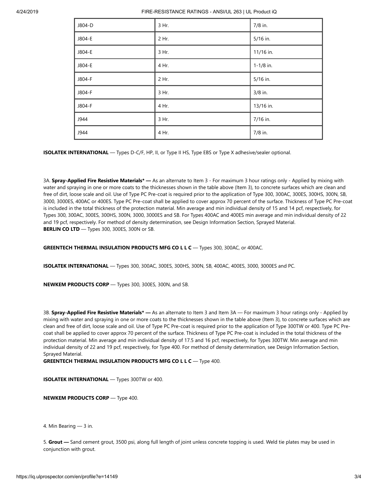| J804-D | 3 Hr. | 7/8 in.       |
|--------|-------|---------------|
| J804-E | 2 Hr. | 5/16 in.      |
| J804-E | 3 Hr. | 11/16 in.     |
| J804-E | 4 Hr. | $1 - 1/8$ in. |
| J804-F | 2 Hr. | 5/16 in.      |
| J804-F | 3 Hr. | 3/8 in.       |
| J804-F | 4 Hr. | 13/16 in.     |
| J944   | 3 Hr. | 7/16 in.      |
| J944   | 4 Hr. | 7/8 in.       |

**ISOLATEK INTERNATIONAL** — Types D-C/F, HP, II, or Type II HS, Type EBS or Type X adhesive/sealer optional.

3A. **Spray-Applied Fire Resistive Materials\* —** As an alternate to Item 3 - For maximum 3 hour ratings only - Applied by mixing with water and spraying in one or more coats to the thicknesses shown in the table above (Item 3), to concrete surfaces which are clean and free of dirt, loose scale and oil. Use of Type PC Pre-coat is required prior to the application of Type 300, 300AC, 300ES, 300HS, 300N, SB, 3000, 3000ES, 400AC or 400ES. Type PC Pre-coat shall be applied to cover approx 70 percent of the surface. Thickness of Type PC Pre-coat is included in the total thickness of the protection material. Min average and min individual density of 15 and 14 pcf, respectively, for Types 300, 300AC, 300ES, 300HS, 300N, 3000, 3000ES and SB. For Types 400AC and 400ES min average and min individual density of 22 and 19 pcf, respectively. For method of density determination, see Design Information Section, Sprayed Material. **BERLIN CO LTD** — Types 300, 300ES, 300N or SB.

**GREENTECH THERMAL INSULATION PRODUCTS MFG CO L L C** — Types 300, 300AC, or 400AC.

**ISOLATEK INTERNATIONAL** — Types 300, 300AC, 300ES, 300HS, 300N, SB, 400AC, 400ES, 3000, 3000ES and PC.

**NEWKEM PRODUCTS CORP** — Types 300, 300ES, 300N, and SB.

3B. **Spray-Applied Fire Resistive Materials\* —** As an alternate to Item 3 and Item 3A — For maximum 3 hour ratings only - Applied by mixing with water and spraying in one or more coats to the thicknesses shown in the table above (Item 3), to concrete surfaces which are clean and free of dirt, loose scale and oil. Use of Type PC Pre-coat is required prior to the application of Type 300TW or 400. Type PC Precoat shall be applied to cover approx 70 percent of the surface. Thickness of Type PC Pre-coat is included in the total thickness of the protection material. Min average and min individual density of 17.5 and 16 pcf, respectively, for Types 300TW. Min average and min individual density of 22 and 19 pcf, respectively, for Type 400. For method of density determination, see Design Information Section, Sprayed Material.

**GREENTECH THERMAL INSULATION PRODUCTS MFG CO L L C** — Type 400.

**ISOLATEK INTERNATIONAL** — Types 300TW or 400.

**NEWKEM PRODUCTS CORP** — Type 400.

4. Min Bearing — 3 in.

5. **Grout —** Sand cement grout, 3500 psi, along full length of joint unless concrete topping is used. Weld tie plates may be used in conjunction with grout.